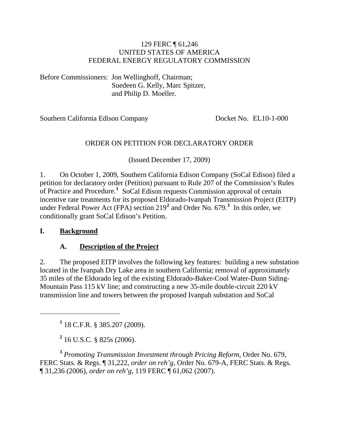#### 129 FERC ¶ 61,246 UNITED STATES OF AMERICA FEDERAL ENERGY REGULATORY COMMISSION

Before Commissioners: Jon Wellinghoff, Chairman; Suedeen G. Kelly, Marc Spitzer, and Philip D. Moeller.

Southern California Edison Company Docket No. EL10-1-000

#### ORDER ON PETITION FOR DECLARATORY ORDER

(Issued December 17, 2009)

1. On October 1, 2009, Southern California Edison Company (SoCal Edison) filed a petition for declaratory order (Petition) pursuant to Rule 207 of the Commission's Rules of Practice and Procedure.**[1](#page-0-0)** SoCal Edison requests Commission approval of certain incentive rate treatments for its proposed Eldorado-Ivanpah Transmission Project (EITP) under Federal Power Act (FPA) section 219**[2](#page-0-1)** and Order No. 679.**[3](#page-0-2)** In this order, we conditionally grant SoCal Edison's Petition.

#### **I. Background**

<span id="page-0-0"></span> $\overline{a}$ 

#### **A. Description of the Project**

2. The proposed EITP involves the following key features: building a new substation located in the Ivanpah Dry Lake area in southern California; removal of approximately 35 miles of the Eldorado leg of the existing Eldorado-Baker-Cool Water-Dunn Siding-Mountain Pass 115 kV line; and constructing a new 35-mile double-circuit 220 kV transmission line and towers between the proposed Ivanpah substation and SoCal

**1** 18 C.F.R. § 385.207 (2009).

**2** 16 U.S.C. § 825s (2006).

<span id="page-0-2"></span><span id="page-0-1"></span>**<sup>3</sup>** *Promoting Transmission Investment through Pricing Reform*, Order No. 679, FERC Stats. & Regs. ¶ 31,222, *order on reh'g*, Order No. 679-A, FERC Stats. & Regs. ¶ 31,236 (2006), *order on reh'g*, 119 FERC ¶ 61,062 (2007).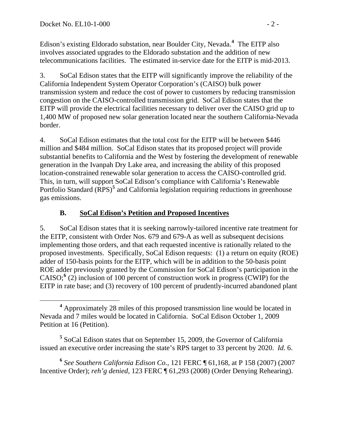Edison's existing Eldorado substation, near Boulder City, Nevada.**<sup>4</sup>** The EITP also involves associated upgrades to the Eldorado substation and the addition of new telecommunications facilities. The estimated in-service date for the EITP is mid-2013.

3. SoCal Edison states that the EITP will significantly improve the reliability of the California Independent System Operator Corporation's (CAISO) bulk power transmission system and reduce the cost of power to customers by reducing transmission congestion on the CAISO-controlled transmission grid. SoCal Edison states that the EITP will provide the electrical facilities necessary to deliver over the CAISO grid up to 1,400 MW of proposed new solar generation located near the southern California-Nevada border.

4. SoCal Edison estimates that the total cost for the EITP will be between \$446 million and \$484 million. SoCal Edison states that its proposed project will provide substantial benefits to California and the West by fostering the development of renewable generation in the Ivanpah Dry Lake area, and increasing the ability of this proposed location-constrained renewable solar generation to access the CAISO-controlled grid. This, in turn, will support SoCal Edison's compliance with California's Renewable Portfolio Standard (RPS)<sup>[5](#page-1-0)</sup> and California legislation requiring reductions in greenhouse gas emissions.

#### **B. SoCal Edison's Petition and Proposed Incentives**

5. SoCal Edison states that it is seeking narrowly-tailored incentive rate treatment for the EITP, consistent with Order Nos. 679 and 679-A as well as subsequent decisions implementing those orders, and that each requested incentive is rationally related to the proposed investments. Specifically, SoCal Edison requests: (1) a return on equity (ROE) adder of 150-basis points for the EITP, which will be in addition to the 50-basis point ROE adder previously granted by the Commission for SoCal Edison's participation in the CAISO; $\frac{6}{2}$  $\frac{6}{2}$  $\frac{6}{2}$  inclusion of 100 percent of construction work in progress (CWIP) for the EITP in rate base; and (3) recovery of 100 percent of prudently-incurred abandoned plant

<span id="page-1-0"></span>**5** SoCal Edison states that on September 15, 2009, the Governor of California issued an executive order increasing the state's RPS target to 33 percent by 2020. *Id*. 6.

<span id="page-1-1"></span>**<sup>6</sup>** *See Southern California Edison Co.*, 121 FERC ¶ 61,168, at P 158 (2007) (2007 Incentive Order); *reh'g denied*, 123 FERC ¶ 61,293 (2008) (Order Denying Rehearing).

**<sup>4</sup>** Approximately 28 miles of this proposed transmission line would be located in Nevada and 7 miles would be located in California. SoCal Edison October 1, 2009 Petition at 16 (Petition).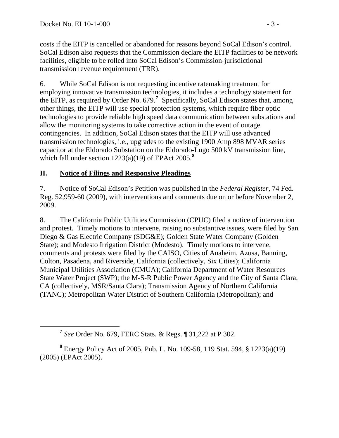costs if the EITP is cancelled or abandoned for reasons beyond SoCal Edison's control. SoCal Edison also requests that the Commission declare the EITP facilities to be network facilities, eligible to be rolled into SoCal Edison's Commission-jurisdictional transmission revenue requirement (TRR).

6. While SoCal Edison is not requesting incentive ratemaking treatment for employing innovative transmission technologies, it includes a technology statement for the EITP, as required by Order No.  $679$  $679$  $679$ .<sup>7</sup> Specifically, SoCal Edison states that, among other things, the EITP will use special protection systems, which require fiber optic technologies to provide reliable high speed data communication between substations and allow the monitoring systems to take corrective action in the event of outage contingencies. In addition, SoCal Edison states that the EITP will use advanced transmission technologies, i.e., upgrades to the existing 1900 Amp 898 MVAR series capacitor at the Eldorado Substation on the Eldorado-Lugo 500 kV transmission line, which fall under section 1223(a)(19) of EPAct 2005.**[8](#page-2-1)**

#### **II. Notice of Filings and Responsive Pleadings**

7. Notice of SoCal Edison's Petition was published in the *Federal Register*, 74 Fed. Reg. 52,959-60 (2009), with interventions and comments due on or before November 2, 2009.

8. The California Public Utilities Commission (CPUC) filed a notice of intervention and protest. Timely motions to intervene, raising no substantive issues, were filed by San Diego & Gas Electric Company (SDG&E); Golden State Water Company (Golden State); and Modesto Irrigation District (Modesto). Timely motions to intervene, comments and protests were filed by the CAISO, Cities of Anaheim, Azusa, Banning, Colton, Pasadena, and Riverside, California (collectively, Six Cities); California Municipal Utilities Association (CMUA); California Department of Water Resources State Water Project (SWP); the M-S-R Public Power Agency and the City of Santa Clara, CA (collectively, MSR/Santa Clara); Transmission Agency of Northern California (TANC); Metropolitan Water District of Southern California (Metropolitan); and

**<sup>7</sup>** *See* Order No. 679, FERC Stats. & Regs. ¶ 31,222 at P 302.

<span id="page-2-1"></span><span id="page-2-0"></span>**<sup>8</sup>** Energy Policy Act of 2005, Pub. L. No. 109-58, 119 Stat. 594, § 1223(a)(19) (2005) (EPAct 2005).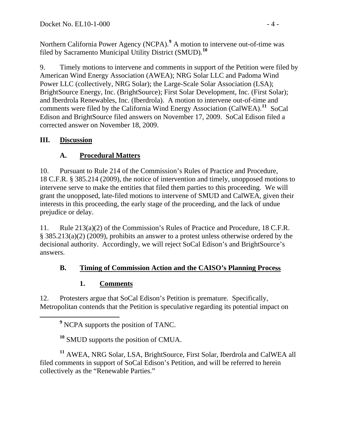Northern California Power Agency (NCPA).<sup>9</sup> A motion to intervene out-of-time was filed by Sacramento Municipal Utility District (SMUD).<sup>10</sup>

9. Timely motions to intervene and comments in support of the Petition were filed by American Wind Energy Association (AWEA); NRG Solar LLC and Padoma Wind Power LLC (collectively, NRG Solar); the Large-Scale Solar Association (LSA); BrightSource Energy, Inc. (BrightSource); First Solar Development, Inc. (First Solar); and Iberdrola Renewables, Inc. (Iberdrola). A motion to intervene out-of-time and comments were filed by the California Wind Energy Association (CalWEA).**[11](#page-3-0)** SoCal Edison and BrightSource filed answers on November 17, 2009. SoCal Edison filed a corrected answer on November 18, 2009.

#### **III. Discussion**

# **A. Procedural Matters**

10. Pursuant to Rule 214 of the Commission's Rules of Practice and Procedure, 18 C.F.R. § 385.214 (2009), the notice of intervention and timely, unopposed motions to intervene serve to make the entities that filed them parties to this proceeding. We will grant the unopposed, late-filed motions to intervene of SMUD and CalWEA, given their interests in this proceeding, the early stage of the proceeding, and the lack of undue prejudice or delay.

11. Rule 213(a)(2) of the Commission's Rules of Practice and Procedure, 18 C.F.R. § 385.213(a)(2) (2009), prohibits an answer to a protest unless otherwise ordered by the decisional authority. Accordingly, we will reject SoCal Edison's and BrightSource's answers.

### **B. Timing of Commission Action and the CAISO's Planning Process**

### **1. Comments**

12. Protesters argue that SoCal Edison's Petition is premature. Specifically, Metropolitan contends that the Petition is speculative regarding its potential impact on

**<sup>10</sup>** SMUD supports the position of CMUA.

<span id="page-3-0"></span>**<sup>11</sup>** AWEA, NRG Solar, LSA, BrightSource, First Solar, Iberdrola and CalWEA all filed comments in support of SoCal Edison's Petition, and will be referred to herein collectively as the "Renewable Parties."

**<sup>9</sup>** <sup>9</sup> NCPA supports the position of TANC.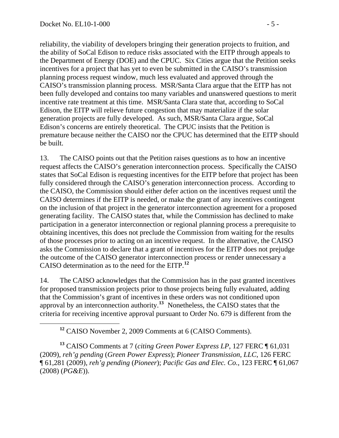reliability, the viability of developers bringing their generation projects to fruition, and the ability of SoCal Edison to reduce risks associated with the EITP through appeals to the Department of Energy (DOE) and the CPUC. Six Cities argue that the Petition seeks incentives for a project that has yet to even be submitted in the CAISO's transmission planning process request window, much less evaluated and approved through the CAISO's transmission planning process. MSR/Santa Clara argue that the EITP has not been fully developed and contains too many variables and unanswered questions to merit incentive rate treatment at this time. MSR/Santa Clara state that, according to SoCal Edison, the EITP will relieve future congestion that may materialize if the solar generation projects are fully developed. As such, MSR/Santa Clara argue, SoCal Edison's concerns are entirely theoretical. The CPUC insists that the Petition is premature because neither the CAISO nor the CPUC has determined that the EITP should be built.

13. The CAISO points out that the Petition raises questions as to how an incentive request affects the CAISO's generation interconnection process. Specifically the CAISO states that SoCal Edison is requesting incentives for the EITP before that project has been fully considered through the CAISO's generation interconnection process. According to the CAISO, the Commission should either defer action on the incentives request until the CAISO determines if the EITP is needed, or make the grant of any incentives contingent on the inclusion of that project in the generator interconnection agreement for a proposed generating facility. The CAISO states that, while the Commission has declined to make participation in a generator interconnection or regional planning process a prerequisite to obtaining incentives, this does not preclude the Commission from waiting for the results of those processes prior to acting on an incentive request. In the alternative, the CAISO asks the Commission to declare that a grant of incentives for the EITP does not prejudge the outcome of the CAISO generator interconnection process or render unnecessary a CAISO determination as to the need for the EITP.**[12](#page-4-0)**

14. The CAISO acknowledges that the Commission has in the past granted incentives for proposed transmission projects prior to those projects being fully evaluated, adding that the Commission's grant of incentives in these orders was not conditioned upon approval by an interconnection authority.**[13](#page-4-1)** Nonetheless, the CAISO states that the criteria for receiving incentive approval pursuant to Order No. 679 is different from the

<span id="page-4-1"></span><span id="page-4-0"></span>**<sup>13</sup>** CAISO Comments at 7 (*citing Green Power Express LP*, 127 FERC ¶ 61,031 (2009), *reh'g pending* (*Green Power Express*); *Pioneer Transmission, LLC*, 126 FERC ¶ 61,281 (2009), *reh'g pending* (*Pioneer*); *Pacific Gas and Elec. Co.*, 123 FERC ¶ 61,067 (2008) (*PG&E*)).

**<sup>12</sup>** CAISO November 2, 2009 Comments at 6 (CAISO Comments).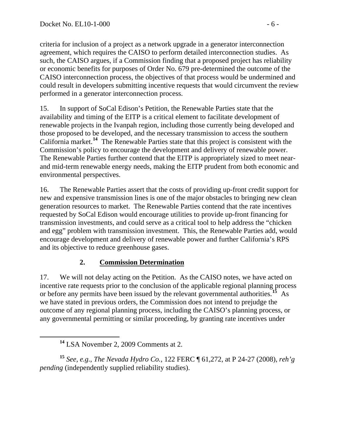criteria for inclusion of a project as a network upgrade in a generator interconnection agreement, which requires the CAISO to perform detailed interconnection studies. As such, the CAISO argues, if a Commission finding that a proposed project has reliability or economic benefits for purposes of Order No. 679 pre-determined the outcome of the CAISO interconnection process, the objectives of that process would be undermined and could result in developers submitting incentive requests that would circumvent the review performed in a generator interconnection process.

15. In support of SoCal Edison's Petition, the Renewable Parties state that the availability and timing of the EITP is a critical element to facilitate development of renewable projects in the Ivanpah region, including those currently being developed and those proposed to be developed, and the necessary transmission to access the southern California market.**[14](#page-5-0)** The Renewable Parties state that this project is consistent with the Commission's policy to encourage the development and delivery of renewable power. The Renewable Parties further contend that the EITP is appropriately sized to meet nearand mid-term renewable energy needs, making the EITP prudent from both economic and environmental perspectives.

16. The Renewable Parties assert that the costs of providing up-front credit support for new and expensive transmission lines is one of the major obstacles to bringing new clean generation resources to market. The Renewable Parties contend that the rate incentives requested by SoCal Edison would encourage utilities to provide up-front financing for transmission investments, and could serve as a critical tool to help address the "chicken and egg" problem with transmission investment. This, the Renewable Parties add, would encourage development and delivery of renewable power and further California's RPS and its objective to reduce greenhouse gases.

### **2. Commission Determination**

17. We will not delay acting on the Petition. As the CAISO notes, we have acted on incentive rate requests prior to the conclusion of the applicable regional planning process or before any permits have been issued by the relevant governmental authorities.**[15](#page-5-1)** As we have stated in previous orders, the Commission does not intend to prejudge the outcome of any regional planning process, including the CAISO's planning process , or any governmental permitting or similar proceeding, by granting rate incentives under

<span id="page-5-1"></span><span id="page-5-0"></span>**<sup>15</sup>** *See, e.g.*, *The Nevada Hydro Co.*, 122 FERC ¶ 61,272, at P 24-27 (2008), *reh'g pending* (independently supplied reliability studies).

**<sup>14</sup>** LSA November 2, 2009 Comments at 2.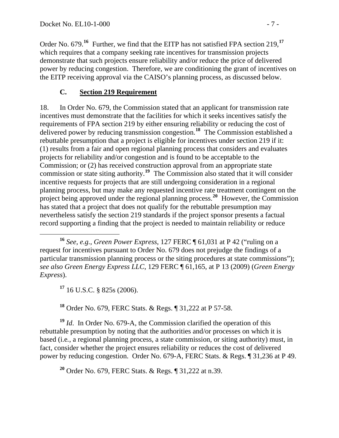Order No. 679.**<sup>16</sup>** Further, we find that the EITP has not satisfied FPA section 219,**<sup>17</sup>** which requires that a company seeking rate incentives for transmission projects demonstrate that such projects ensure reliability and/or reduce the price of delivered power by reducing congestion. Therefore, we are conditioning the grant of incentives on the EITP receiving approval via the CAISO's planning process, as discussed below.

#### **C. Section 219 Requirement**

18. In Order No. 679, the Commission stated that an applicant for transmission rate incentives must demonstrate that the facilities for which it seeks incentives satisfy the requirements of FPA section 219 by either ensuring reliability or reducing the cost of delivered power by reducing transmission congestion.**[18](#page-6-0)** The Commission established a rebuttable presumption that a project is eligible for incentives under section 219 if it: (1) results from a fair and open regional planning process that considers and evaluates projects for reliability and/or congestion and is found to be acceptable to the Commission; or (2) has received construction approval from an appropriate state commission or state siting authority.**[19](#page-6-1)** The Commission also stated that it will consider incentive requests for projects that are still undergoing consideration in a regional planning process, but may make any requested incentive rate treatment contingent on the project being approved under the regional planning process.**[20](#page-6-2)** However, the Commission has stated that a project that does not qualify for the rebuttable presumption may nevertheless satisfy the section 219 standards if the project sponsor presents a factual record supporting a finding that the project is needed to maintain reliability or reduce

**<sup>17</sup>** 16 U.S.C. § 825s (2006).

**<sup>18</sup>** Order No. 679, FERC Stats. & Regs. ¶ 31,222 at P 57-58.

<span id="page-6-1"></span><span id="page-6-0"></span>**<sup>19</sup>** *Id*. In Order No. 679-A, the Commission clarified the operation of this rebuttable presumption by noting that the authorities and/or processes on which it is based (i.e*.*, a regional planning process, a state commission, or siting authority) must, in fact, consider whether the project ensures reliability or reduces the cost of delivered power by reducing congestion. Order No. 679-A, FERC Stats. & Regs. ¶ 31,236 at P 49.

<span id="page-6-2"></span>**<sup>20</sup>** Order No. 679, FERC Stats. & Regs. ¶ 31,222 at n.39.

**<sup>16</sup>** *See, e.g.*, *Green Power Express*, 127 FERC ¶ 61,031 at P 42 ("ruling on a request for incentives pursuant to Order No. 679 does not prejudge the findings of a particular transmission planning process or the siting procedures at state commissions"); *see also Green Energy Express LLC*, 129 FERC ¶ 61,165, at P 13 (2009) (*Green Energy Express*).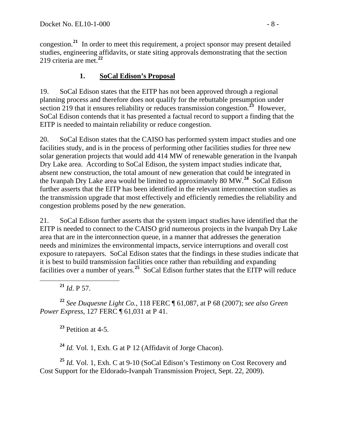congestion.**<sup>21</sup>** In order to meet this requirement, a project sponsor may present detailed studies, engineering affidavits, or state siting approvals demonstrating that the section 219 criteria are met.**<sup>22</sup>**

### **1. SoCal Edison's Proposal**

19. SoCal Edison states that the EITP has not been approved through a regional planning process and therefore does not qualify for the rebuttable presumption under section 219 that it ensures reliability or reduces transmission congestion.**[23](#page-7-0)** However, SoCal Edison contends that it has presented a factual record to support a finding that the EITP is needed to maintain reliability or reduce congestion.

20. SoCal Edison states that the CAISO has performed system impact studies and one facilities study, and is in the process of performing other facilities studies for three new solar generation projects that would add 414 MW of renewable generation in the Ivanpah Dry Lake area. According to SoCal Edison, the system impact studies indicate that, absent new construction, the total amount of new generation that could be integrated in the Ivanpah Dry Lake area would be limited to approximately 80 MW.**[24](#page-7-1)** SoCal Edison further asserts that the EITP has been identified in the relevant interconnection studies as the transmission upgrade that most effectively and efficiently remedies the reliability and congestion problems posed by the new generation.

21. SoCal Edison further asserts that the system impact studies have identified that the EITP is needed to connect to the CAISO grid numerous projects in the Ivanpah Dry Lake area that are in the interconnection queue, in a manner that addresses the generation needs and minimizes the environmental impacts, service interruptions and overall cost exposure to ratepayers. SoCal Edison states that the findings in these studies indicate that it is best to build transmission facilities once rather than rebuilding and expanding facilities over a number of years.<sup>[25](#page-7-2)</sup> SoCal Edison further states that the EITP will reduce

**<sup>21</sup>** *Id*. P 57.

**<sup>22</sup>** *See Duquesne Light Co.*, 118 FERC ¶ 61,087, at P 68 (2007); *see also Green Power Express*, 127 FERC ¶ 61,031 at P 41.

**<sup>23</sup>** Petition at 4-5.

**<sup>24</sup>** *Id.* Vol. 1, Exh. G at P 12 (Affidavit of Jorge Chacon).

<span id="page-7-2"></span><span id="page-7-1"></span><span id="page-7-0"></span>**<sup>25</sup>** *Id.* Vol. 1, Exh. C at 9-10 (SoCal Edison's Testimony on Cost Recovery and Cost Support for the Eldorado-Ivanpah Transmission Project, Sept. 22, 2009).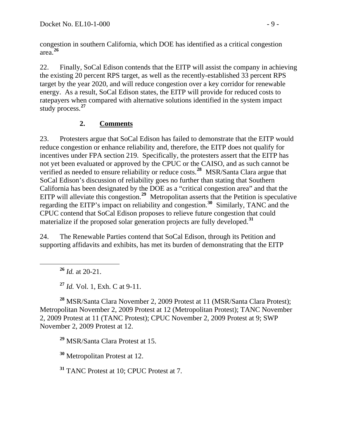congestion in southern California, which DOE has identified as a critical congestion area.**<sup>26</sup>**

22. Finally, SoCal Edison contends that the EITP will assist the company in achieving the existing 20 percent RPS target, as well as the recently-established 33 percent RPS target by the year 2020, and will reduce congestion over a key corridor for renewable energy. As a result, SoCal Edison states, the EITP will provide for reduced costs to ratepayers when compared with alternative solutions identified in the system impact study process.**[27](#page-8-0)**

# **2. Comments**

23. Protesters argue that SoCal Edison has failed to demonstrate that the EITP would reduce congestion or enhance reliability and, therefore, the EITP does not qualify for incentives under FPA section 219. Specifically, the protesters assert that the EITP has not yet been evaluated or approved by the CPUC or the CAISO, and as such cannot be verified as needed to ensure reliability or reduce costs.**[28](#page-8-1)** MSR/Santa Clara argue that SoCal Edison's discussion of reliability goes no further than stating that Southern California has been designated by the DOE as a "critical congestion area" and that the EITP will alleviate this congestion.<sup>[29](#page-8-2)</sup> Metropolitan asserts that the Petition is speculative regarding the EITP's impact on reliability and congestion.**[30](#page-8-3)** Similarly, TANC and the CPUC contend that SoCal Edison proposes to relieve future congestion that could materialize if the proposed solar generation projects are fully developed.**[31](#page-8-4)**

24. The Renewable Parties contend that SoCal Edison, through its Petition and supporting affidavits and exhibits, has met its burden of demonstrating that the EITP

**<sup>26</sup>** *Id.* at 20-21.

**<sup>27</sup>** *Id.* Vol. 1, Exh. C at 9-11.

<span id="page-8-2"></span><span id="page-8-1"></span><span id="page-8-0"></span>**<sup>28</sup>** MSR/Santa Clara November 2, 2009 Protest at 11 (MSR/Santa Clara Protest); Metropolitan November 2, 2009 Protest at 12 (Metropolitan Protest); TANC November 2, 2009 Protest at 11 (TANC Protest); CPUC November 2, 2009 Protest at 9; SWP November 2, 2009 Protest at 12.

**<sup>29</sup>** MSR/Santa Clara Protest at 15.

<span id="page-8-3"></span>**<sup>30</sup>** Metropolitan Protest at 12.

<span id="page-8-4"></span>**<sup>31</sup>** TANC Protest at 10; CPUC Protest at 7.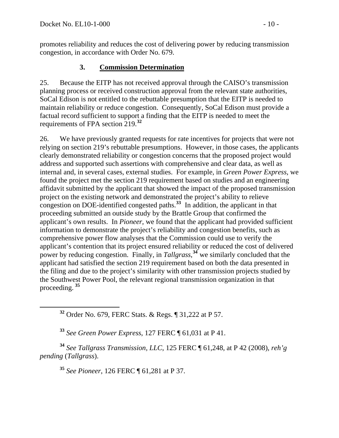promotes reliability and reduces the cost of delivering power by reducing transmission congestion, in accordance with Order No. 679.

### **3. Commission Determination**

25. Because the EITP has not received approval through the CAISO's transmission planning process or received construction approval from the relevant state authorities, SoCal Edison is not entitled to the rebuttable presumption that the EITP is needed to maintain reliability or reduce congestion. Consequently, SoCal Edison must provide a factual record sufficient to support a finding that the EITP is needed to meet the requirements of FPA section 219.**[32](#page-9-0)**

26. We have previously granted requests for rate incentives for projects that were not relying on section 219's rebuttable presumptions. However, in those cases, the applicants clearly demonstrated reliability or congestion concerns that the proposed project would address and supported such assertions with comprehensive and clear data, as well as internal and, in several cases, external studies. For example, in *Green Power Express*, we found the project met the section 219 requirement based on studies and an engineering affidavit submitted by the applicant that showed the impact of the proposed transmission project on the existing network and demonstrated the project's ability to relieve congestion on DOE-identified congested paths.**[33](#page-9-1)** In addition, the applicant in that proceeding submitted an outside study by the Brattle Group that confirmed the applicant's own results. In *Pioneer*, we found that the applicant had provided sufficient information to demonstrate the project's reliability and congestion benefits, such as comprehensive power flow analyses that the Commission could use to verify the applicant's contention that its project ensured reliability or reduced the cost of delivered power by reducing congestion. Finally, in *Tallgrass*,<sup>[34](#page-9-2)</sup> we similarly concluded that the applicant had satisfied the section 219 requirement based on both the data presented in the filing and due to the project's similarity with other transmission projects studied by the Southwest Power Pool, the relevant regional transmission organization in that proceeding. **[35](#page-9-3)**

**<sup>32</sup>** Order No. 679, FERC Stats. & Regs. ¶ 31,222 at P 57.

**<sup>33</sup>** *See Green Power Express*, 127 FERC ¶ 61,031 at P 41.

<span id="page-9-3"></span><span id="page-9-2"></span><span id="page-9-1"></span><span id="page-9-0"></span>**<sup>34</sup>** *See Tallgrass Transmission, LLC*, 125 FERC ¶ 61,248, at P 42 (2008), *reh'g pending* (*Tallgrass*).

**<sup>35</sup>** *See Pioneer*, 126 FERC ¶ 61,281 at P 37.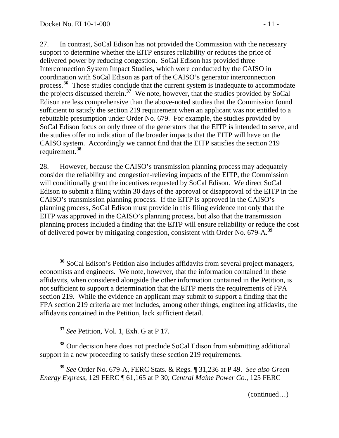$\overline{a}$ 

27. In contrast, SoCal Edison has not provided the Commission with the necessary support to determine whether the EITP ensures reliability or reduces the price of delivered power by reducing congestion. SoCal Edison has provided three Interconnection System Impact Studies, which were conducted by the CAISO in coordination with SoCal Edison as part of the CAISO's generator interconnection process.**[36](#page-10-0)** Those studies conclude that the current system is inadequate to accommodate the projects discussed therein.**[37](#page-10-1)** We note, however, that the studies provided by SoCal Edison are less comprehensive than the above-noted studies that the Commission found sufficient to satisfy the section 219 requirement when an applicant was not entitled to a rebuttable presumption under Order No. 679. For example, the studies provided by SoCal Edison focus on only three of the generators that the EITP is intended to serve, and the studies offer no indication of the broader impacts that the EITP will have on the CAISO system. Accordingly we cannot find that the EITP satisfies the section 219 requirement.**[38](#page-10-2)**

28. However, because the CAISO's transmission planning process may adequately consider the reliability and congestion-relieving impacts of the EITP, the Commission will conditionally grant the incentives requested by SoCal Edison. We direct SoCal Edison to submit a filing within 30 days of the approval or disapproval of the EITP in the CAISO's transmission planning process. If the EITP is approved in the CAISO's planning process, SoCal Edison must provide in this filing evidence not only that the EITP was approved in the CAISO's planning process, but also that the transmission planning process included a finding that the EITP will ensure reliability or reduce the cost of delivered power by mitigating congestion, consistent with Order No. 679-A.**[39](#page-10-3)**

**<sup>37</sup>** *See* Petition, Vol. 1, Exh. G at P 17.

<span id="page-10-2"></span><span id="page-10-1"></span>**<sup>38</sup>** Our decision here does not preclude SoCal Edison from submitting additional support in a new proceeding to satisfy these section 219 requirements.

<span id="page-10-3"></span>**<sup>39</sup>** *See* Order No. 679-A, FERC Stats. & Regs. ¶ 31,236 at P 49. *See also Green Energy Express,* 129 FERC ¶ 61,165 at P 30; *Central Maine Power Co.*, 125 FERC

(continued…)

<span id="page-10-0"></span>**<sup>36</sup>** SoCal Edison's Petition also includes affidavits from several project managers, economists and engineers. We note, however, that the information contained in these affidavits, when considered alongside the other information contained in the Petition, is not sufficient to support a determination that the EITP meets the requirements of FPA section 219. While the evidence an applicant may submit to support a finding that the FPA section 219 criteria are met includes, among other things, engineering affidavits, the affidavits contained in the Petition, lack sufficient detail.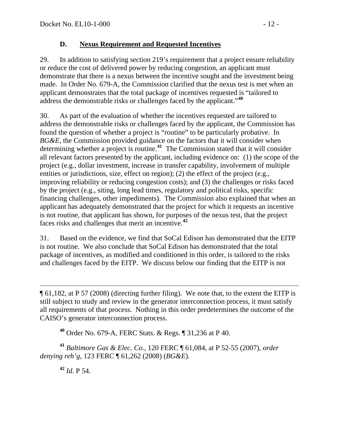#### **D. Nexus Requirement and Requested Incentives**

29. In addition to satisfying section 219's requirement that a project ensure reliability or reduce the cost of delivered power by reducing congestion, an applicant must demonstrate that there is a nexus between the incentive sought and the investment being made. In Order No. 679-A, the Commission clarified that the nexus test is met when an applicant demonstrates that the total package of incentives requested is "tailored to address the demonstrable risks or challenges faced by the applicant."**[40](#page-11-0)**

30. As part of the evaluation of whether the incentives requested are tailored to address the demonstrable risks or challenges faced by the applicant, the Commission has found the question of whether a project is "routine" to be particularly probative. In *BG&E*, the Commission provided guidance on the factors that it will consider when determining whether a project is routine.**[41](#page-11-1)** The Commission stated that it will consider all relevant factors presented by the applicant, including evidence on: (1) the scope of the project (e.g., dollar investment, increase in transfer capability, involvement of multiple entities or jurisdictions, size, effect on region); (2) the effect of the project (e.g., improving reliability or reducing congestion costs); and (3) the challenges or risks faced by the project (e.g., siting, long lead times, regulatory and political risks, specific financing challenges, other impediments). The Commission also explained that when an applicant has adequately demonstrated that the project for which it requests an incentive is not routine, that applicant has shown, for purposes of the nexus test, that the project faces risks and challenges that merit an incentive.**[42](#page-11-2)**

31. Based on the evidence, we find that SoCal Edison has demonstrated that the EITP is not routine. We also conclude that SoCal Edison has demonstrated that the total package of incentives, as modified and conditioned in this order, is tailored to the risks and challenges faced by the EITP. We discuss below our finding that the EITP is not

**<sup>40</sup>** Order No. 679-A, FERC Stats. & Regs. ¶ 31,236 at P 40.

<span id="page-11-2"></span><span id="page-11-1"></span><span id="page-11-0"></span>**<sup>41</sup>** *Baltimore Gas & Elec. Co.*, 120 FERC ¶ 61,084, at P 52-55 (2007), *order denying reh'g*, 123 FERC ¶ 61,262 (2008) (*BG&E*).

**<sup>42</sup>** *Id*. P 54.

<sup>¶ 61,182,</sup> at P 57 (2008) (directing further filing). We note that, to the extent the EITP is still subject to study and review in the generator interconnection process, it must satisfy all requirements of that process. Nothing in this order predetermines the outcome of the CAISO's generator interconnection process.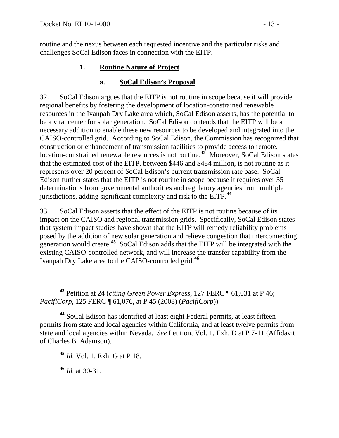routine and the nexus between each requested incentive and the particular risks and challenges SoCal Edison faces in connection with the EITP.

### **1. Routine Nature of Project**

#### **a. SoCal Edison's Proposal**

32. SoCal Edison argues that the EITP is not routine in scope because it will provide regional benefits by fostering the development of location-constrained renewable resources in the Ivanpah Dry Lake area which, SoCal Edison asserts, has the potential to be a vital center for solar generation. SoCal Edison contends that the EITP will be a necessary addition to enable these new resources to be developed and integrated into the CAISO-controlled grid. According to SoCal Edison, the Commission has recognized that construction or enhancement of transmission facilities to provide access to remote, location-constrained renewable resources is not routine.<sup>[43](#page-12-0)</sup> Moreover, SoCal Edison states that the estimated cost of the EITP, between \$446 and \$484 million, is not routine as it represents over 20 percent of SoCal Edison's current transmission rate base. SoCal Edison further states that the EITP is not routine in scope because it requires over 35 determinations from governmental authorities and regulatory agencies from multiple jurisdictions, adding significant complexity and risk to the EITP.**[44](#page-12-1)**

33. SoCal Edison asserts that the effect of the EITP is not routine because of its impact on the CAISO and regional transmission grids. Specifically, SoCal Edison states that system impact studies have shown that the EITP will remedy reliability problems posed by the addition of new solar generation and relieve congestion that interconnecting generation would create.**[45](#page-12-2)** SoCal Edison adds that the EITP will be integrated with the existing CAISO-controlled network, and will increase the transfer capability from the Ivanpah Dry Lake area to the CAISO-controlled grid.**[46](#page-12-3)**

<span id="page-12-3"></span>**<sup>46</sup>** *Id.* at 30-31.

<span id="page-12-0"></span>**<sup>43</sup>** Petition at 24 (*citing Green Power Express*, 127 FERC ¶ 61,031 at P 46; *PacifiCorp*, 125 FERC ¶ 61,076, at P 45 (2008) (*PacifiCorp*)).

<span id="page-12-2"></span><span id="page-12-1"></span>**<sup>44</sup>** SoCal Edison has identified at least eight Federal permits, at least fifteen permits from state and local agencies within California, and at least twelve permits from state and local agencies within Nevada. *See* Petition, Vol. 1, Exh. D at P 7-11 (Affidavit of Charles B. Adamson).

**<sup>45</sup>** *Id.* Vol. 1, Exh. G at P 18.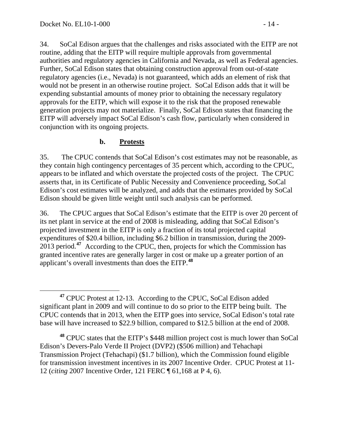34. SoCal Edison argues that the challenges and risks associated with the EITP are not routine, adding that the EITP will require multiple approvals from governmental authorities and regulatory agencies in California and Nevada, as well as Federal agencies. Further, SoCal Edison states that obtaining construction approval from out-of-state regulatory agencies (i.e., Nevada) is not guaranteed, which adds an element of risk that would not be present in an otherwise routine project. SoCal Edison adds that it will be expending substantial amounts of money prior to obtaining the necessary regulatory approvals for the EITP, which will expose it to the risk that the proposed renewable generation projects may not materialize. Finally, SoCal Edison states that financing the EITP will adversely impact SoCal Edison's cash flow, particularly when considered in conjunction with its ongoing projects.

#### **b. Protests**

35. The CPUC contends that SoCal Edison's cost estimates may not be reasonable, as they contain high contingency percentages of 35 percent which, according to the CPUC, appears to be inflated and which overstate the projected costs of the project. The CPUC asserts that, in its Certificate of Public Necessity and Convenience proceeding, SoCal Edison's cost estimates will be analyzed, and adds that the estimates provided by SoCal Edison should be given little weight until such analysis can be performed.

36. The CPUC argues that SoCal Edison's estimate that the EITP is over 20 percent of its net plant in service at the end of 2008 is misleading, adding that SoCal Edison's projected investment in the EITP is only a fraction of its total projected capital expenditures of \$20.4 billion, including \$6.2 billion in transmission, during the 2009- 2013 period.**[47](#page-13-0)** According to the CPUC, then, projects for which the Commission has granted incentive rates are generally larger in cost or make up a greater portion of an applicant's overall investments than does the EITP.**[48](#page-13-1)**

<span id="page-13-1"></span>**<sup>48</sup>** CPUC states that the EITP's \$448 million project cost is much lower than SoCal Edison's Devers-Palo Verde II Project (DVP2) (\$506 million) and Tehachapi Transmission Project (Tehachapi) (\$1.7 billion), which the Commission found eligible for transmission investment incentives in its 2007 Incentive Order. CPUC Protest at 11- 12 (*citing* 2007 Incentive Order, 121 FERC ¶ 61,168 at P 4, 6).

<span id="page-13-0"></span>**<sup>47</sup>** CPUC Protest at 12-13. According to the CPUC, SoCal Edison added significant plant in 2009 and will continue to do so prior to the EITP being built. The CPUC contends that in 2013, when the EITP goes into service, SoCal Edison's total rate base will have increased to \$22.9 billion, compared to \$12.5 billion at the end of 2008.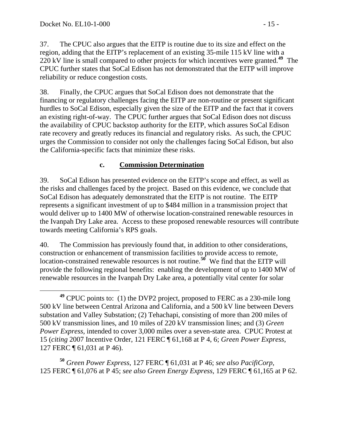37. The CPUC also argues that the EITP is routine due to its size and effect on the region, adding that the EITP's replacement of an existing 35-mile 115 kV line with a 220 kV line is small compared to other projects for which incentives were granted.**[49](#page-14-0)** The CPUC further states that SoCal Edison has not demonstrated that the EITP will improve reliability or reduce congestion costs.

38. Finally, the CPUC argues that SoCal Edison does not demonstrate that the financing or regulatory challenges facing the EITP are non-routine or present significant hurdles to SoCal Edison, especially given the size of the EITP and the fact that it covers an existing right-of-way. The CPUC further argues that SoCal Edison does not discuss the availability of CPUC backstop authority for the EITP, which assures SoCal Edison rate recovery and greatly reduces its financial and regulatory risks. As such, the CPUC urges the Commission to consider not only the challenges facing SoCal Edison, but also the California-specific facts that minimize these risks.

#### **c. Commission Determination**

39. SoCal Edison has presented evidence on the EITP's scope and effect, as well as the risks and challenges faced by the project. Based on this evidence, we conclude that SoCal Edison has adequately demonstrated that the EITP is not routine. The EITP represents a significant investment of up to \$484 million in a transmission project that would deliver up to 1400 MW of otherwise location-constrained renewable resources in the Ivanpah Dry Lake area. Access to these proposed renewable resources will contribute towards meeting California's RPS goals.

40. The Commission has previously found that, in addition to other considerations, construction or enhancement of transmission facilities to provide access to remote, location-constrained renewable resources is not routine.<sup>[50](#page-14-1)</sup> We find that the EITP will provide the following regional benefits: enabling the development of up to 1400 MW of renewable resources in the Ivanpah Dry Lake area, a potentially vital center for solar

<span id="page-14-1"></span>**<sup>50</sup>** *Green Power Express*, 127 FERC ¶ 61,031 at P 46; *see also PacifiCorp*, 125 FERC ¶ 61,076 at P 45; *see also Green Energy Express,* 129 FERC ¶ 61,165 at P 62.

<span id="page-14-0"></span>**<sup>49</sup>** CPUC points to: (1) the DVP2 project, proposed to FERC as a 230-mile long 500 kV line between Central Arizona and California, and a 500 kV line between Devers substation and Valley Substation; (2) Tehachapi, consisting of more than 200 miles of 500 kV transmission lines, and 10 miles of 220 kV transmission lines; and (3) *Green Power Express*, intended to cover 3,000 miles over a seven-state area. CPUC Protest at 15 (*citing* 2007 Incentive Order, 121 FERC ¶ 61,168 at P 4, 6; *Green Power Express*, 127 FERC ¶ 61,031 at P 46).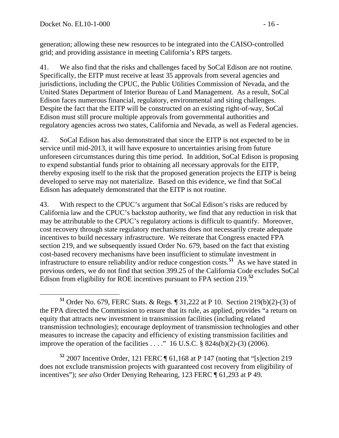generation; allowing these new resources to be integrated into the CAISO-controlled grid; and providing assistance in meeting California's RPS targets.

41. We also find that the risks and challenges faced by SoCal Edison are not routine. Specifically, the EITP must receive at least 35 approvals from several agencies and jurisdictions, including the CPUC, the Public Utilities Commission of Nevada, and the United States Department of Interior Bureau of Land Management. As a result, SoCal Edison faces numerous financial, regulatory, environmental and siting challenges. Despite the fact that the EITP will be constructed on an existing right-of-way, SoCal Edison must still procure multiple approvals from governmental authorities and regulatory agencies across two states, California and Nevada, as well as Federal agencies.

42. SoCal Edison has also demonstrated that since the EITP is not expected to be in service until mid-2013, it will have exposure to uncertainties arising from future unforeseen circumstances during this time period. In addition, SoCal Edison is proposing to expend substantial funds prior to obtaining all necessary approvals for the EITP, thereby exposing itself to the risk that the proposed generation projects the EITP is being developed to serve may not materialize. Based on this evidence, we find that SoCal Edison has adequately demonstrated that the EITP is not routine.

43. With respect to the CPUC's argument that SoCal Edison's risks are reduced by California law and the CPUC's backstop authority, we find that any reduction in risk that may be attributable to the CPUC's regulatory actions is difficult to quantify. Moreover, cost recovery through state regulatory mechanisms does not necessarily create adequate incentives to build necessary infrastructure. We reiterate that Congress enacted FPA section 219, and we subsequently issued Order No. 679, based on the fact that existing cost-based recovery mechanisms have been insufficient to stimulate investment in infrastructure to ensure reliability and/or reduce congestion costs.**[51](#page-15-0)** As we have stated in previous orders, we do not find that section 399.25 of the California Code excludes SoCal Edison from eligibility for ROE incentives pursuant to FPA section 219.**[52](#page-15-1)**

<span id="page-15-1"></span>**<sup>52</sup>** 2007 Incentive Order, 121 FERC ¶ 61,168 at P 147 (noting that "[s]ection 219 does not exclude transmission projects with guaranteed cost recovery from eligibility of incentives"); *see also* Order Denying Rehearing, 123 FERC ¶ 61,293 at P 49.

<span id="page-15-0"></span>**<sup>51</sup>** Order No. 679, FERC Stats. & Regs. ¶ 31,222 at P 10. Section 219(b)(2)-(3) of the FPA directed the Commission to ensure that its rule, as applied, provides "a return on equity that attracts new investment in transmission facilities (including related transmission technologies); encourage deployment of transmission technologies and other measures to increase the capacity and efficiency of existing transmission facilities and improve the operation of the facilities . . . ." 16 U.S.C.  $\S$  824s(b)(2)-(3) (2006).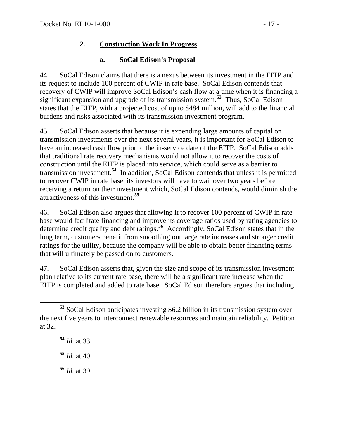### **2. Construction Work In Progress**

### **a. SoCal Edison's Proposal**

44. SoCal Edison claims that there is a nexus between its investment in the EITP and its request to include 100 percent of CWIP in rate base. SoCal Edison contends that recovery of CWIP will improve SoCal Edison's cash flow at a time when it is financing a significant expansion and upgrade of its transmission system.**[53](#page-16-0)** Thus, SoCal Edison states that the EITP, with a projected cost of up to \$484 million, will add to the financial burdens and risks associated with its transmission investment program.

45. SoCal Edison asserts that because it is expending large amounts of capital on transmission investments over the next several years, it is important for SoCal Edison to have an increased cash flow prior to the in-service date of the EITP. SoCal Edison adds that traditional rate recovery mechanisms would not allow it to recover the costs of construction until the EITP is placed into service, which could serve as a barrier to transmission investment.**[54](#page-16-1)** In addition, SoCal Edison contends that unless it is permitted to recover CWIP in rate base, its investors will have to wait over two years before receiving a return on their investment which, SoCal Edison contends, would diminish the attractiveness of this investment.**[55](#page-16-2)**

46. SoCal Edison also argues that allowing it to recover 100 percent of CWIP in rate base would facilitate financing and improve its coverage ratios used by rating agencies to determine credit quality and debt ratings.**[56](#page-16-3)** Accordingly, SoCal Edison states that in the long term, customers benefit from smoothing out large rate increases and stronger credit ratings for the utility, because the company will be able to obtain better financing terms that will ultimately be passed on to customers.

47. SoCal Edison asserts that, given the size and scope of its transmission investment plan relative to its current rate base, there will be a significant rate increase when the EITP is completed and added to rate base. SoCal Edison therefore argues that including

**<sup>54</sup>** *Id.* at 33.

<span id="page-16-2"></span>**<sup>55</sup>** *Id.* at 40.

<span id="page-16-3"></span>**<sup>56</sup>** *Id.* at 39.

<span id="page-16-1"></span><span id="page-16-0"></span>**<sup>53</sup>** SoCal Edison anticipates investing \$6.2 billion in its transmission system over the next five years to interconnect renewable resources and maintain reliability. Petition at 32.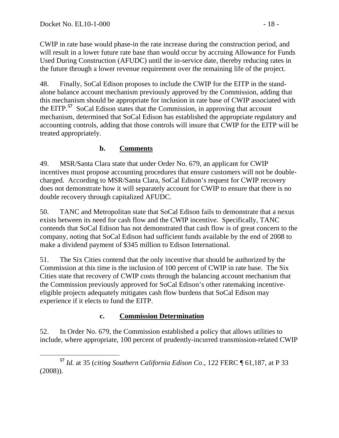CWIP in rate base would phase-in the rate increase during the construction period, and will result in a lower future rate base than would occur by accruing Allowance for Funds Used During Construction (AFUDC) until the in-service date, thereby reducing rates in the future through a lower revenue requirement over the remaining life of the project.

48. Finally, SoCal Edison proposes to include the CWIP for the EITP in the standalone balance account mechanism previously approved by the Commission, adding that this mechanism should be appropriate for inclusion in rate base of CWIP associated with the EITP.**[57](#page-17-0)** SoCal Edison states that the Commission, in approving that account mechanism, determined that SoCal Edison has established the appropriate regulatory and accounting controls, adding that those controls will insure that CWIP for the EITP will be treated appropriately.

# **b. Comments**

49. MSR/Santa Clara state that under Order No. 679, an applicant for CWIP incentives must propose accounting procedures that ensure customers will not be doublecharged. According to MSR/Santa Clara, SoCal Edison's request for CWIP recovery does not demonstrate how it will separately account for CWIP to ensure that there is no double recovery through capitalized AFUDC.

50. TANC and Metropolitan state that SoCal Edison fails to demonstrate that a nexus exists between its need for cash flow and the CWIP incentive. Specifically, TANC contends that SoCal Edison has not demonstrated that cash flow is of great concern to the company, noting that SoCal Edison had sufficient funds available by the end of 2008 to make a dividend payment of \$345 million to Edison International.

51. The Six Cities contend that the only incentive that should be authorized by the Commission at this time is the inclusion of 100 percent of CWIP in rate base. The Six Cities state that recovery of CWIP costs through the balancing account mechanism that the Commission previously approved for SoCal Edison's other ratemaking incentiveeligible projects adequately mitigates cash flow burdens that SoCal Edison may experience if it elects to fund the EITP.

### **c. Commission Determination**

52. In Order No. 679, the Commission established a policy that allows utilities to include, where appropriate, 100 percent of prudently-incurred transmission-related CWIP

<span id="page-17-0"></span>**<sup>57</sup>** *Id.* at 35 (*citing Southern California Edison Co*., 122 FERC ¶ 61,187, at P 33 (2008)).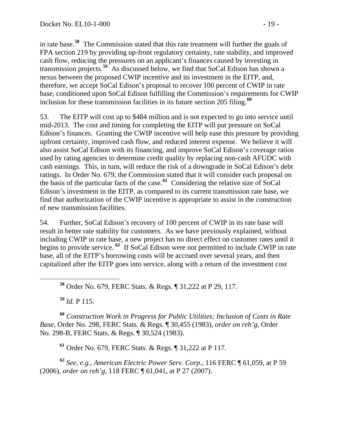in rate base.**<sup>58</sup>** The Commission stated that this rate treatment will further the goals of FPA section 219 by providing up-front regulatory certainty, rate stability, and improved cash flow, reducing the pressures on an applicant's finances caused by investing in transmission projects.**<sup>59</sup>** As discussed below, we find that SoCal Edison has shown a nexus between the proposed CWIP incentive and its investment in the EITP, and, therefore, we accept SoCal Edison's proposal to recover 100 percent of CWIP in rate base, conditioned upon SoCal Edison fulfilling the Commission's requirements for CWIP inclusion for these transmission facilities in its future section 205 filing.**<sup>60</sup>**

53. The EITP will cost up to \$484 million and is not expected to go into service until mid-2013. The cost and timing for completing the EITP will put pressure on SoCal Edison's finances. Granting the CWIP incentive will help ease this pressure by providing upfront certainty, improved cash flow, and reduced interest expense. We believe it will also assist SoCal Edison with its financing, and improve SoCal Edison's coverage ratios used by rating agencies to determine credit quality by replacing non-cash AFUDC with cash earnings. This, in turn, will reduce the risk of a downgrade in SoCal Edison's debt ratings. In Order No. 679, the Commission stated that it will consider each proposal on the basis of the particular facts of the case.**[61](#page-18-0)** Considering the relative size of SoCal Edison's investment in the EITP, as compared to its current transmission rate base, we find that authorization of the CWIP incentive is appropriate to assist in the construction of new transmission facilities.

54. Further, SoCal Edison's recovery of 100 percent of CWIP in its rate base will result in better rate stability for customers. As we have previously explained, without including CWIP in rate base, a new project has no direct effect on customer rates until it begins to provide service. **[62](#page-18-1)** If SoCal Edison were not permitted to include CWIP in rate base, all of the EITP's borrowing costs will be accrued over several years, and then capitalized after the EITP goes into service, along with a return of the investment cost

**<sup>58</sup>** Order No. 679, FERC Stats. & Regs. ¶ 31,222 at P 29, 117.

**<sup>59</sup>** *Id.* P 115.

**<sup>60</sup>** *Construction Work in Progress for Public Utilities; Inclusion of Costs in Rate Base*, Order No. 298, FERC Stats. & Regs. ¶ 30,455 (1983), *order on reh'g*, Order No. 298-B, FERC Stats. & Regs. ¶ 30,524 (1983).

**<sup>61</sup>** Order No. 679, FERC Stats. & Regs. ¶ 31,222 at P 117.

<span id="page-18-1"></span><span id="page-18-0"></span>**<sup>62</sup>** *See, e.g.*, *American Electric Power Serv. Corp.*, 116 FERC ¶ 61,059, at P 59 (2006), *order on reh'g*, 118 FERC ¶ 61,041, at P 27 (2007).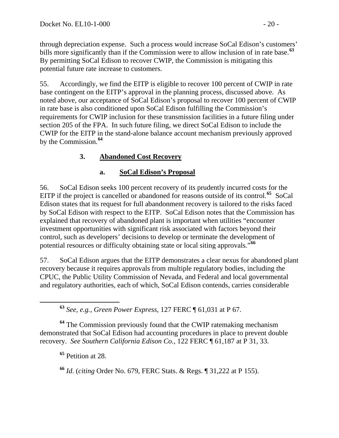through depreciation expense. Such a process would increase SoCal Edison's customers' bills more significantly than if the Commission were to allow inclusion of in rate base.**<sup>63</sup>** By permitting SoCal Edison to recover CWIP, the Commission is mitigating this potential future rate increase to customers.

55. Accordingly, we find the EITP is eligible to recover 100 percent of CWIP in rate base contingent on the EITP's approval in the planning process, discussed above. As noted above, our acceptance of SoCal Edison's proposal to recover 100 percent of CWIP in rate base is also conditioned upon SoCal Edison fulfilling the Commission's requirements for CWIP inclusion for these transmission facilities in a future filing under section 205 of the FPA. In such future filing, we direct SoCal Edison to include the CWIP for the EITP in the stand-alone balance account mechanism previously approved by the Commission.**[64](#page-19-0)**

### **3. Abandoned Cost Recovery**

#### **a. SoCal Edison's Proposal**

56. SoCal Edison seeks 100 percent recovery of its prudently incurred costs for the EITP if the project is cancelled or abandoned for reasons outside of its control.**[65](#page-19-1)** SoCal Edison states that its request for full abandonment recovery is tailored to the risks faced by SoCal Edison with respect to the EITP. SoCal Edison notes that the Commission has explained that recovery of abandoned plant is important when utilities "encounter investment opportunities with significant risk associated with factors beyond their control, such as developers' decisions to develop or terminate the development of potential resources or difficulty obtaining state or local siting approvals."**[66](#page-19-2)**

57. SoCal Edison argues that the EITP demonstrates a clear nexus for abandoned plant recovery because it requires approvals from multiple regulatory bodies, including the CPUC, the Public Utility Commission of Nevada, and Federal and local governmental and regulatory authorities, each of which, SoCal Edison contends, carries considerable

**<sup>63</sup>** *See, e.g., Green Power Express*, 127 FERC ¶ 61,031 at P 67.

<span id="page-19-1"></span><span id="page-19-0"></span>**<sup>64</sup>** The Commission previously found that the CWIP ratemaking mechanism demonstrated that SoCal Edison had accounting procedures in place to prevent double recovery. *See Southern California Edison Co.*, 122 FERC ¶ 61,187 at P 31, 33.

**<sup>65</sup>** Petition at 28.

<span id="page-19-2"></span>**<sup>66</sup>** *Id*. (*citing* Order No. 679, FERC Stats. & Regs. ¶ 31,222 at P 155).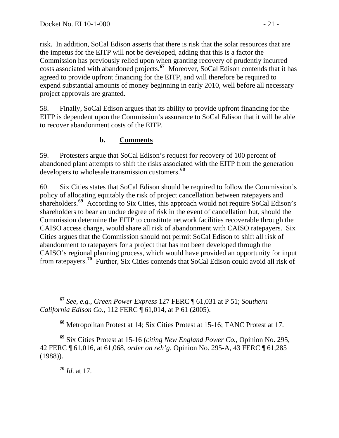risk. In addition, SoCal Edison asserts that there is risk that the solar resources that are the impetus for the EITP will not be developed, adding that this is a factor the Commission has previously relied upon when granting recovery of prudently incurred costs associated with abandoned projects.**<sup>67</sup>** Moreover, SoCal Edison contends that it has agreed to provide upfront financing for the EITP, and will therefore be required to expend substantial amounts of money beginning in early 2010, well before all necessary project approvals are granted.

58. Finally, SoCal Edison argues that its ability to provide upfront financing for the EITP is dependent upon the Commission's assurance to SoCal Edison that it will be able to recover abandonment costs of the EITP.

#### **b. Comments**

59. Protesters argue that SoCal Edison's request for recovery of 100 percent of abandoned plant attempts to shift the risks associated with the EITP from the generation developers to wholesale transmission customers.**[68](#page-20-0)**

60. Six Cities states that SoCal Edison should be required to follow the Commission's policy of allocating equitably the risk of project cancellation between ratepayers and shareholders.<sup>[69](#page-20-1)</sup> According to Six Cities, this approach would not require SoCal Edison's shareholders to bear an undue degree of risk in the event of cancellation but, should the Commission determine the EITP to constitute network facilities recoverable through the CAISO access charge, would share all risk of abandonment with CAISO ratepayers. Six Cities argues that the Commission should not permit SoCal Edison to shift all risk of abandonment to ratepayers for a project that has not been developed through the CAISO's regional planning process, which would have provided an opportunity for input from ratepayers.**[70](#page-20-2)** Further, Six Cities contends that SoCal Edison could avoid all risk of

 **<sup>67</sup>** *See, e.g., Green Power Express* 127 FERC ¶ 61,031 at P 51; *Southern California Edison Co.,* 112 FERC ¶ 61,014, at P 61 (2005).

**<sup>68</sup>** Metropolitan Protest at 14; Six Cities Protest at 15-16; TANC Protest at 17.

<span id="page-20-2"></span><span id="page-20-1"></span><span id="page-20-0"></span>**<sup>69</sup>** Six Cities Protest at 15-16 (*citing New England Power Co.*, Opinion No. 295, 42 FERC ¶ 61,016, at 61,068, *order on reh'g*, Opinion No. 295-A, 43 FERC ¶ 61,285 (1988)).

**<sup>70</sup>** *Id*. at 17.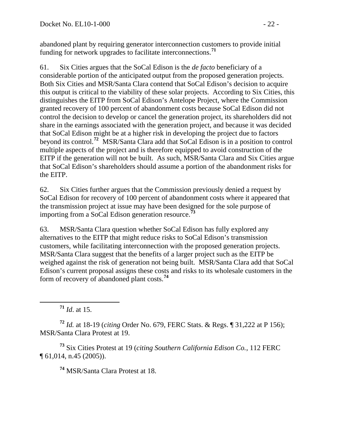abandoned plant by requiring generator interconnection customers to provide initial funding for network upgrades to facilitate interconnections.**<sup>71</sup>**

61. Six Cities argues that the SoCal Edison is the *de facto* beneficiary of a considerable portion of the anticipated output from the proposed generation projects. Both Six Cities and MSR/Santa Clara contend that SoCal Edison's decision to acquire this output is critical to the viability of these solar projects. According to Six Cities, this distinguishes the EITP from SoCal Edison's Antelope Project, where the Commission granted recovery of 100 percent of abandonment costs because SoCal Edison did not control the decision to develop or cancel the generation project, its shareholders did not share in the earnings associated with the generation project, and because it was decided that SoCal Edison might be at a higher risk in developing the project due to factors beyond its control.**[72](#page-21-0)** MSR/Santa Clara add that SoCal Edison is in a position to control multiple aspects of the project and is therefore equipped to avoid construction of the EITP if the generation will not be built. As such, MSR/Santa Clara and Six Cities argue that SoCal Edison's shareholders should assume a portion of the abandonment risks for the EITP.

62. Six Cities further argues that the Commission previously denied a request by SoCal Edison for recovery of 100 percent of abandonment costs where it appeared that the transmission project at issue may have been designed for the sole purpose of importing from a SoCal Edison generation resource.**[73](#page-21-1)**

63. MSR/Santa Clara question whether SoCal Edison has fully explored any alternatives to the EITP that might reduce risks to SoCal Edison's transmission customers, while facilitating interconnection with the proposed generation projects. MSR/Santa Clara suggest that the benefits of a larger project such as the EITP be weighed against the risk of generation not being built. MSR/Santa Clara add that SoCal Edison's current proposal assigns these costs and risks to its wholesale customers in the form of recovery of abandoned plant costs.**[74](#page-21-2)**

**<sup>71</sup>** *Id*. at 15.

<span id="page-21-0"></span>**<sup>72</sup>** *Id.* at 18-19 (*citing* Order No. 679, FERC Stats. & Regs. ¶ 31,222 at P 156); MSR/Santa Clara Protest at 19.

<span id="page-21-2"></span><span id="page-21-1"></span>**<sup>73</sup>** Six Cities Protest at 19 (*citing Southern California Edison Co.*, 112 FERC ¶ 61,014, n.45 (2005)).

**<sup>74</sup>** MSR/Santa Clara Protest at 18.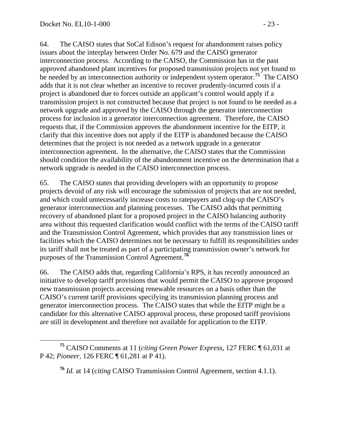64. The CAISO states that SoCal Edison's request for abandonment raises policy issues about the interplay between Order No. 679 and the CAISO generator interconnection process. According to the CAISO, the Commission has in the past approved abandoned plant incentives for proposed transmission projects not yet found to be needed by an interconnection authority or independent system operator.<sup>[75](#page-22-0)</sup> The CAISO adds that it is not clear whether an incentive to recover prudently-incurred costs if a project is abandoned due to forces outside an applicant's control would apply if a transmission project is not constructed because that project is not found to be needed as a network upgrade and approved by the CAISO through the generator interconnection process for inclusion in a generator interconnection agreement. Therefore, the CAISO requests that, if the Commission approves the abandonment incentive for the EITP, it clarify that this incentive does not apply if the EITP is abandoned because the CAISO determines that the project is not needed as a network upgrade in a generator interconnection agreement. In the alternative, the CAISO states that the Commission should condition the availability of the abandonment incentive on the determination that a network upgrade is needed in the CAISO interconnection process.

65. The CAISO states that providing developers with an opportunity to propose projects devoid of any risk will encourage the submission of projects that are not needed, and which could unnecessarily increase costs to ratepayers and clog-up the CAISO's generator interconnection and planning processes. The CAISO adds that permitting recovery of abandoned plant for a proposed project in the CAISO balancing authority area without this requested clarification would conflict with the terms of the CAISO tariff and the Transmission Control Agreement, which provides that any transmission lines or facilities which the CAISO determines not be necessary to fulfill its responsibilities under its tariff shall not be treated as part of a participating transmission owner's network for purposes of the Transmission Control Agreement.**[76](#page-22-1)**

66. The CAISO adds that, regarding California's RPS, it has recently announced an initiative to develop tariff provisions that would permit the CAISO to approve proposed new transmission projects accessing renewable resources on a basis other than the CAISO's current tariff provisions specifying its transmission planning process and generator interconnection process. The CAISO states that while the EITP might be a candidate for this alternative CAISO approval process, these proposed tariff provisions are still in development and therefore not available for application to the EITP.

<span id="page-22-1"></span><span id="page-22-0"></span>**<sup>75</sup>** CAISO Comments at 11 (*citing Green Power Express*, 127 FERC ¶ 61,031 at P 42; *Pioneer*, 126 FERC ¶ 61,281 at P 41).

**<sup>76</sup>** *Id.* at 14 (c*iting* CAISO Transmission Control Agreement, section 4.1.1).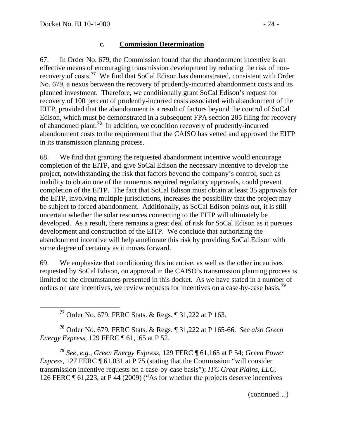<span id="page-23-0"></span>

#### **c. Commission Determination**

67. In Order No. 679, the Commission found that the abandonment incentive is an effective means of encouraging transmission development by reducing the risk of nonrecovery of costs.**[77](#page-23-0)** We find that SoCal Edison has demonstrated, consistent with Order No. 679, a nexus between the recovery of prudently-incurred abandonment costs and its planned investment. Therefore, we conditionally grant SoCal Edison's request for recovery of 100 percent of prudently-incurred costs associated with abandonment of the EITP, provided that the abandonment is a result of factors beyond the control of SoCal Edison, which must be demonstrated in a subsequent FPA section 205 filing for recovery of abandoned plant.**[78](#page-23-1)** In addition, we condition recovery of prudently-incurred abandonment costs to the requirement that the CAISO has vetted and approved the EITP in its transmission planning process.

68. We find that granting the requested abandonment incentive would encourage completion of the EITP, and give SoCal Edison the necessary incentive to develop the project, notwithstanding the risk that factors beyond the company's control, such as inability to obtain one of the numerous required regulatory approvals, could prevent completion of the EITP. The fact that SoCal Edison must obtain at least 35 approvals for the EITP, involving multiple jurisdictions, increases the possibility that the project may be subject to forced abandonment. Additionally, as SoCal Edison points out, it is still uncertain whether the solar resources connecting to the EITP will ultimately be developed. As a result, there remains a great deal of risk for SoCal Edison as it pursues development and construction of the EITP. We conclude that authorizing the abandonment incentive will help ameliorate this risk by providing SoCal Edison with some degree of certainty as it moves forward.

69. We emphasize that conditioning this incentive, as well as the other incentives requested by SoCal Edison, on approval in the CAISO's transmission planning process is limited to the circumstances presented in this docket. As we have stated in a number of orders on rate incentives, we review requests for incentives on a case-by-case basis.**[79](#page-23-2)**

**<sup>77</sup>** Order No. 679, FERC Stats. & Regs. ¶ 31,222 at P 163.

<span id="page-23-1"></span>**<sup>78</sup>** Order No. 679, FERC Stats. & Regs. ¶ 31,222 at P 165-66. *See also Green Energy Express*, 129 FERC ¶ 61,165 at P 52.

<span id="page-23-2"></span>**<sup>79</sup>** *See, e.g.*, *Green Energy Express*, 129 FERC ¶ 61,165 at P 54; *Green Power Express*, 127 FERC  $\P$  61,031 at P 75 (stating that the Commission "will consider transmission incentive requests on a case-by-case basis"); *ITC Great Plains, LLC*, 126 FERC ¶ 61,223, at P 44 (2009) ("As for whether the projects deserve incentives

(continued…)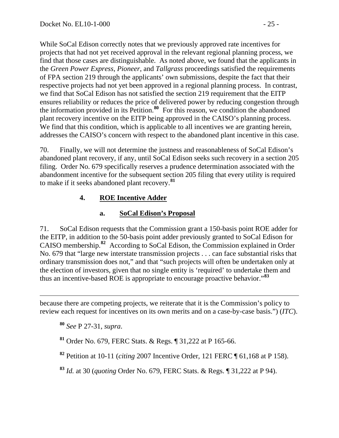While SoCal Edison correctly notes that we previously approved rate incentives for projects that had not yet received approval in the relevant regional planning process, we find that those cases are distinguishable. As noted above, we found that the applicants in the *Green Power Express*, *Pioneer*, and *Tallgrass* proceedings satisfied the requirements of FPA section 219 through the applicants' own submissions, despite the fact that their respective projects had not yet been approved in a regional planning process. In contrast, we find that SoCal Edison has not satisfied the section 219 requirement that the EITP ensures reliability or reduces the price of delivered power by reducing congestion through the information provided in its Petition.**<sup>80</sup>** For this reason, we condition the abandoned plant recovery incentive on the EITP being approved in the CAISO's planning process. We find that this condition, which is applicable to all incentives we are granting herein, addresses the CAISO's concern with respect to the abandoned plant incentive in this case.

70. Finally, we will not determine the justness and reasonableness of SoCal Edison's abandoned plant recovery, if any, until SoCal Edison seeks such recovery in a section 205 filing. Order No. 679 specifically reserves a prudence determination associated with the abandonment incentive for the subsequent section 205 filing that every utility is required to make if it seeks abandoned plant recovery.**[81](#page-24-0)**

### **4. ROE Incentive Adder**

### **a. SoCal Edison's Proposal**

71. SoCal Edison requests that the Commission grant a 150-basis point ROE adder for the EITP, in addition to the 50-basis point adder previously granted to SoCal Edison for CAISO membership.**[82](#page-24-1)** According to SoCal Edison, the Commission explained in Order No. 679 that "large new interstate transmission projects . . . can face substantial risks that ordinary transmission does not," and that "such projects will often be undertaken only at the election of investors, given that no single entity is 'required' to undertake them and thus an incentive-based ROE is appropriate to encourage proactive behavior."**[83](#page-24-2)**

 because there are competing projects, we reiterate that it is the Commission's policy to review each request for incentives on its own merits and on a case-by-case basis.") (*ITC*).

**<sup>80</sup>** *See* P 27-31, *supra*.

<span id="page-24-0"></span>**<sup>81</sup>** Order No. 679, FERC Stats. & Regs. ¶ 31,222 at P 165-66.

<span id="page-24-1"></span>**<sup>82</sup>** Petition at 10-11 (*citing* 2007 Incentive Order, 121 FERC ¶ 61,168 at P 158).

<span id="page-24-2"></span>**<sup>83</sup>** *Id.* at 30 (*quoting* Order No. 679, FERC Stats. & Regs. ¶ 31,222 at P 94).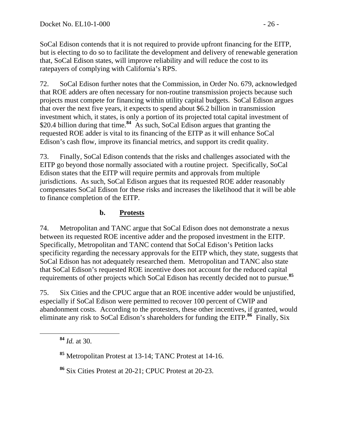SoCal Edison contends that it is not required to provide upfront financing for the EITP, but is electing to do so to facilitate the development and delivery of renewable generation that, SoCal Edison states, will improve reliability and will reduce the cost to its ratepayers of complying with California's RPS.

72. SoCal Edison further notes that the Commission, in Order No. 679, acknowledged that ROE adders are often necessary for non-routine transmission projects because such projects must compete for financing within utility capital budgets. SoCal Edison argues that over the next five years, it expects to spend about \$6.2 billion in transmission investment which, it states, is only a portion of its projected total capital investment of \$20.4 billion during that time.<sup>[84](#page-25-0)</sup> As such, SoCal Edison argues that granting the requested ROE adder is vital to its financing of the EITP as it will enhance SoCal Edison's cash flow, improve its financial metrics, and support its credit quality.

73. Finally, SoCal Edison contends that the risks and challenges associated with the EITP go beyond those normally associated with a routine project. Specifically, SoCal Edison states that the EITP will require permits and approvals from multiple jurisdictions. As such, SoCal Edison argues that its requested ROE adder reasonably compensates SoCal Edison for these risks and increases the likelihood that it will be able to finance completion of the EITP.

#### **b. Protests**

74. Metropolitan and TANC argue that SoCal Edison does not demonstrate a nexus between its requested ROE incentive adder and the proposed investment in the EITP. Specifically, Metropolitan and TANC contend that SoCal Edison's Petition lacks specificity regarding the necessary approvals for the EITP which, they state, suggests that SoCal Edison has not adequately researched them. Metropolitan and TANC also state that SoCal Edison's requested ROE incentive does not account for the reduced capital requirements of other projects which SoCal Edison has recently decided not to pursue.**[85](#page-25-1)**

75. Six Cities and the CPUC argue that an ROE incentive adder would be unjustified, especially if SoCal Edison were permitted to recover 100 percent of CWIP and abandonment costs. According to the protesters, these other incentives, if granted, would eliminate any risk to SoCal Edison's shareholders for funding the EITP.**[86](#page-25-2)** Finally, Six

<span id="page-25-0"></span>**<sup>84</sup>** *Id.* at 30.

<span id="page-25-2"></span>**<sup>86</sup>** Six Cities Protest at 20-21; CPUC Protest at 20-23.

<span id="page-25-1"></span>**<sup>85</sup>** Metropolitan Protest at 13-14; TANC Protest at 14-16.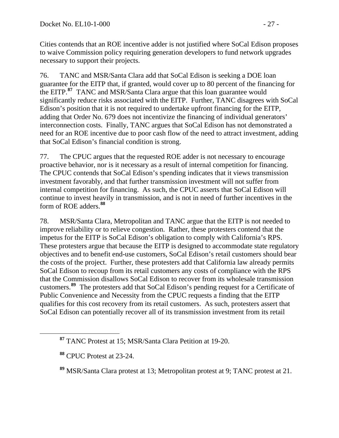Cities contends that an ROE incentive adder is not justified where SoCal Edison proposes to waive Commission policy requiring generation developers to fund network upgrades necessary to support their projects.

76. TANC and MSR/Santa Clara add that SoCal Edison is seeking a DOE loan guarantee for the EITP that, if granted, would cover up to 80 percent of the financing for the EITP.**[87](#page-26-0)** TANC and MSR/Santa Clara argue that this loan guarantee would significantly reduce risks associated with the EITP. Further, TANC disagrees with SoCal Edison's position that it is not required to undertake upfront financing for the EITP, adding that Order No. 679 does not incentivize the financing of individual generators' interconnection costs. Finally, TANC argues that SoCal Edison has not demonstrated a need for an ROE incentive due to poor cash flow of the need to attract investment, adding that SoCal Edison's financial condition is strong.

77. The CPUC argues that the requested ROE adder is not necessary to encourage proactive behavior, nor is it necessary as a result of internal competition for financing. The CPUC contends that SoCal Edison's spending indicates that it views transmission investment favorably, and that further transmission investment will not suffer from internal competition for financing. As such, the CPUC asserts that SoCal Edison will continue to invest heavily in transmission, and is not in need of further incentives in the form of ROE adders.**[88](#page-26-1)**

78. MSR/Santa Clara, Metropolitan and TANC argue that the EITP is not needed to improve reliability or to relieve congestion. Rather, these protesters contend that the impetus for the EITP is SoCal Edison's obligation to comply with California's RPS. These protesters argue that because the EITP is designed to accommodate state regulatory objectives and to benefit end-use customers, SoCal Edison's retail customers should bear the costs of the project. Further, these protesters add that California law already permits SoCal Edison to recoup from its retail customers any costs of compliance with the RPS that the Commission disallows SoCal Edison to recover from its wholesale transmission customers.**[89](#page-26-2)** The protesters add that SoCal Edison's pending request for a Certificate of Public Convenience and Necessity from the CPUC requests a finding that the EITP qualifies for this cost recovery from its retail customers. As such, protesters assert that SoCal Edison can potentially recover all of its transmission investment from its retail

<span id="page-26-0"></span>**<sup>87</sup>** TANC Protest at 15; MSR/Santa Clara Petition at 19-20.

<span id="page-26-1"></span>**<sup>88</sup>** CPUC Protest at 23-24.

<span id="page-26-2"></span>**<sup>89</sup>** MSR/Santa Clara protest at 13; Metropolitan protest at 9; TANC protest at 21.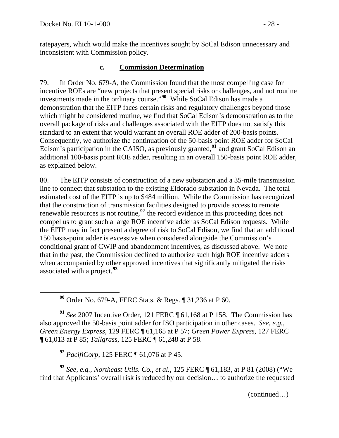<span id="page-27-0"></span>

ratepayers, which would make the incentives sought by SoCal Edison unnecessary and inconsistent with Commission policy.

#### **c. Commission Determination**

79. In Order No. 679-A, the Commission found that the most compelling case for incentive ROEs are "new projects that present special risks or challenges, and not routine investments made in the ordinary course."**[90](#page-27-0)** While SoCal Edison has made a demonstration that the EITP faces certain risks and regulatory challenges beyond those which might be considered routine, we find that SoCal Edison's demonstration as to the overall package of risks and challenges associated with the EITP does not satisfy this standard to an extent that would warrant an overall ROE adder of 200-basis points. Consequently, we authorize the continuation of the 50-basis point ROE adder for SoCal Edison's participation in the CAISO, as previously granted,**[91](#page-27-1)** and grant SoCal Edison an additional 100-basis point ROE adder, resulting in an overall 150-basis point ROE adder, as explained below.

80. The EITP consists of construction of a new substation and a 35-mile transmission line to connect that substation to the existing Eldorado substation in Nevada. The total estimated cost of the EITP is up to \$484 million. While the Commission has recognized that the construction of transmission facilities designed to provide access to remote renewable resources is not routine,**[92](#page-27-2)** the record evidence in this proceeding does not compel us to grant such a large ROE incentive adder as SoCal Edison requests. While the EITP may in fact present a degree of risk to SoCal Edison, we find that an additional 150 basis-point adder is excessive when considered alongside the Commission's conditional grant of CWIP and abandonment incentives, as discussed above. We note that in the past, the Commission declined to authorize such high ROE incentive adders when accompanied by other approved incentives that significantly mitigated the risks associated with a project.**[93](#page-27-3)**

**<sup>90</sup>** Order No. 679-A, FERC Stats. & Regs. ¶ 31,236 at P 60.

<span id="page-27-1"></span>**<sup>91</sup>** *See* 2007 Incentive Order, 121 FERC ¶ 61,168 at P 158. The Commission has also approved the 50-basis point adder for ISO participation in other cases. *See, e.g., Green Energy Express*, 129 FERC ¶ 61,165 at P 57; *Green Power Express*, 127 FERC ¶ 61,013 at P 85; *Tallgrass,* 125 FERC ¶ 61,248 at P 58.

**<sup>92</sup>** *PacifiCorp*, 125 FERC ¶ 61,076 at P 45.

<span id="page-27-3"></span><span id="page-27-2"></span>**<sup>93</sup>** *See, e.g., Northeast Utils. Co., et al.*, 125 FERC ¶ 61,183, at P 81 (2008) ("We find that Applicants' overall risk is reduced by our decision… to authorize the requested

(continued…)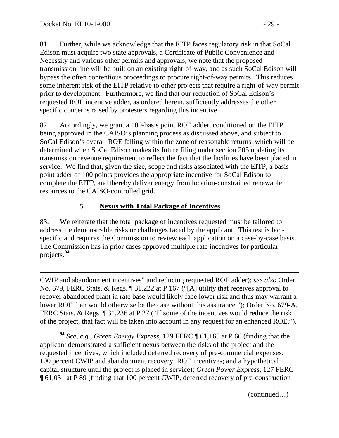81. Further, while we acknowledge that the EITP faces regulatory risk in that SoCal Edison must acquire two state approvals, a Certificate of Public Convenience and Necessity and various other permits and approvals, we note that the proposed transmission line will be built on an existing right-of-way, and as such SoCal Edison will bypass the often contentious proceedings to procure right-of-way permits. This reduces some inherent risk of the EITP relative to other projects that require a right-of-way permit prior to development. Furthermore, we find that our reduction of SoCal Edison's requested ROE incentive adder, as ordered herein, sufficiently addresses the other specific concerns raised by protesters regarding this incentive.

82. Accordingly, we grant a 100-basis point ROE adder, conditioned on the EITP being approved in the CAISO's planning process as discussed above, and subject to SoCal Edison's overall ROE falling within the zone of reasonable returns, which will be determined when SoCal Edison makes its future filing under section 205 updating its transmission revenue requirement to reflect the fact that the facilities have been placed in service.We find that, given the size, scope and risks associated with the EITP, a basis point adder of 100 points provides the appropriate incentive for SoCal Edison to complete the EITP, and thereby deliver energy from location-constrained renewable resources to the CAISO-controlled grid.

# **5. Nexus with Total Package of Incentives**

83. We reiterate that the total package of incentives requested must be tailored to address the demonstrable risks or challenges faced by the applicant. This test is factspecific and requires the Commission to review each application on a case-by-case basis. The Commission has in prior cases approved multiple rate incentives for particular projects.**[94](#page-28-0)**

 $\overline{a}$ CWIP and abandonment incentives" and reducing requested ROE adder); *see also* Order No. 679, FERC Stats. & Regs. ¶ 31,222 at P 167 ("[A] utility that receives approval to recover abandoned plant in rate base would likely face lower risk and thus may warrant a lower ROE than would otherwise be the case without this assurance."); Order No. 679-A, FERC Stats. & Regs.  $\sqrt{ }$  31,236 at P 27 ("If some of the incentives would reduce the risk of the project, that fact will be taken into account in any request for an enhanced ROE.").

<span id="page-28-0"></span>**<sup>94</sup>** *See*, *e*.*g*., *Green Energy Express*, 129 FERC ¶ 61,165 at P 66 (finding that the applicant demonstrated a sufficient nexus between the risks of the project and the requested incentives, which included deferred recovery of pre-commercial expenses; 100 percent CWIP and abandonment recovery; ROE incentives; and a hypothetical capital structure until the project is placed in service); *Green Power Express*, 127 FERC ¶ 61,031 at P 89 (finding that 100 percent CWIP, deferred recovery of pre-construction

(continued…)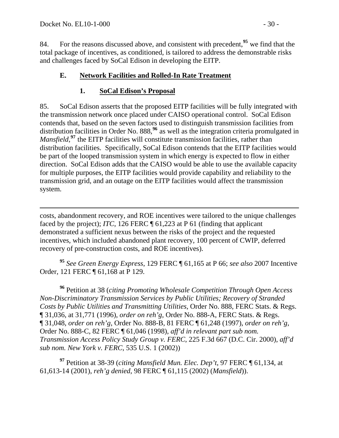$\overline{a}$ 

84. For the reasons discussed above, and consistent with precedent,**[95](#page-29-0)** we find that the total package of incentives, as conditioned, is tailored to address the demonstrable risks and challenges faced by SoCal Edison in developing the EITP.

#### **E. Network Facilities and Rolled-In Rate Treatment**

#### **1. SoCal Edison's Proposal**

85. SoCal Edison asserts that the proposed EITP facilities will be fully integrated with the transmission network once placed under CAISO operational control. SoCal Edison contends that, based on the seven factors used to distinguish transmission facilities from distribution facilities in Order No. 888,**[96](#page-29-1)** as well as the integration criteria promulgated in *Mansfield*,<sup>[97](#page-29-2)</sup> the EITP facilities will constitute transmission facilities, rather than distribution facilities. Specifically, SoCal Edison contends that the EITP facilities would be part of the looped transmission system in which energy is expected to flow in either direction. SoCal Edison adds that the CAISO would be able to use the available capacity for multiple purposes, the EITP facilities would provide capability and reliability to the transmission grid, and an outage on the EITP facilities would affect the transmission system.

costs, abandonment recovery, and ROE incentives were tailored to the unique challenges faced by the project); *ITC*, 126 FERC ¶ 61,223 at P 61 (finding that applicant demonstrated a sufficient nexus between the risks of the project and the requested incentives, which included abandoned plant recovery, 100 percent of CWIP, deferred recovery of pre-construction costs, and ROE incentives).

<span id="page-29-0"></span>**<sup>95</sup>** *See Green Energy Express*, 129 FERC ¶ 61,165 at P 66; *see also* 2007 Incentive Order, 121 FERC ¶ 61,168 at P 129.

<span id="page-29-1"></span>**<sup>96</sup>** Petition at 38 (*citing Promoting Wholesale Competition Through Open Access Non-Discriminatory Transmission Services by Public Utilities; Recovery of Stranded Costs by Public Utilities and Transmitting Utilities*, Order No. 888, FERC Stats. & Regs. ¶ 31,036, at 31,771 (1996), *order on reh'g*, Order No. 888-A, FERC Stats. & Regs. ¶ 31,048, *order on reh'g*, Order No. 888-B, 81 FERC ¶ 61,248 (1997), *order on reh'g*, Order No. 888-C, 82 FERC ¶ 61,046 (1998), *aff'd in relevant part sub nom. Transmission Access Policy Study Group v. FERC*, 225 F.3d 667 (D.C. Cir. 2000), *aff'd sub nom. New York v. FERC*, 535 U.S. 1 (2002))

<span id="page-29-2"></span>**<sup>97</sup>** Petition at 38-39 (*citing Mansfield Mun. Elec. Dep't*, 97 FERC ¶ 61,134, at 61,613-14 (2001), *reh'g denied*, 98 FERC ¶ 61,115 (2002) (*Mansfield*)).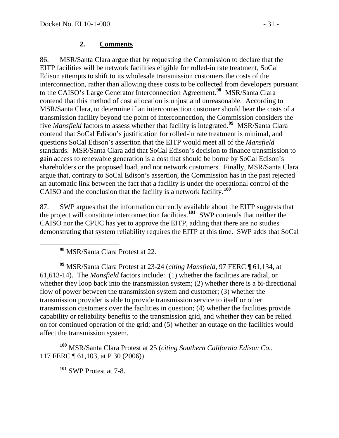#### **2. Comments**

86. MSR/Santa Clara argue that by requesting the Commission to declare that the EITP facilities will be network facilities eligible for rolled-in rate treatment, SoCal Edison attempts to shift to its wholesale transmission customers the costs of the interconnection, rather than allowing these costs to be collected from developers pursuant to the CAISO's Large Generator Interconnection Agreement.**[98](#page-30-0)** MSR/Santa Clara contend that this method of cost allocation is unjust and unreasonable. According to MSR/Santa Clara, to determine if an interconnection customer should bear the costs of a transmission facility beyond the point of interconnection, the Commission considers the five *Mansfield* factors to assess whether that facility is integrated.**[99](#page-30-1)** MSR/Santa Clara contend that SoCal Edison's justification for rolled-in rate treatment is minimal, and questions SoCal Edison's assertion that the EITP would meet all of the *Mansfield* standards. MSR/Santa Clara add that SoCal Edison's decision to finance transmission to gain access to renewable generation is a cost that should be borne by SoCal Edison's shareholders or the proposed load, and not network customers. Finally, MSR/Santa Clara argue that, contrary to SoCal Edison's assertion, the Commission has in the past rejected an automatic link between the fact that a facility is under the operational control of the CAISO and the conclusion that the facility is a network facility.**[100](#page-30-2)**

87. SWP argues that the information currently available about the EITP suggests that the project will constitute interconnection facilities.**[101](#page-30-3)** SWP contends that neither the CAISO nor the CPUC has yet to approve the EITP, adding that there are no studies demonstrating that system reliability requires the EITP at this time. SWP adds that SoCal

**<sup>98</sup>** MSR/Santa Clara Protest at 22.

<span id="page-30-1"></span><span id="page-30-0"></span>**<sup>99</sup>** MSR/Santa Clara Protest at 23-24 (*citing Mansfield,* 97 FERC ¶ 61,134, at 61,613-14). The *Mansfield* factors include: (1) whether the facilities are radial, or whether they loop back into the transmission system; (2) whether there is a bi-directional flow of power between the transmission system and customer; (3) whether the transmission provider is able to provide transmission service to itself or other transmission customers over the facilities in question; (4) whether the facilities provide capability or reliability benefits to the transmission grid, and whether they can be relied on for continued operation of the grid; and (5) whether an outage on the facilities would affect the transmission system.

<span id="page-30-3"></span><span id="page-30-2"></span>**<sup>100</sup>** MSR/Santa Clara Protest at 25 (*citing Southern California Edison Co.*, 117 FERC ¶ 61,103, at P 30 (2006)).

**<sup>101</sup>** SWP Protest at 7-8.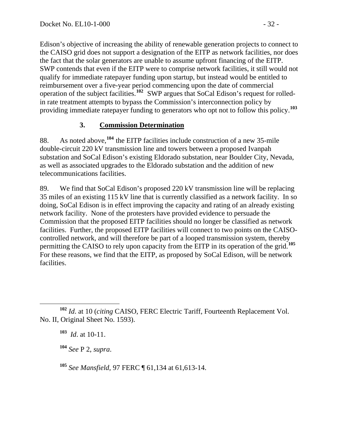Edison's objective of increasing the ability of renewable generation projects to connect to the CAISO grid does not support a designation of the EITP as network facilities, nor does the fact that the solar generators are unable to assume upfront financing of the EITP. SWP contends that even if the EITP were to comprise network facilities, it still would not qualify for immediate ratepayer funding upon startup, but instead would be entitled to reimbursement over a five-year period commencing upon the date of commercial operation of the subject facilities.**<sup>102</sup>** SWP argues that SoCal Edison's request for rolledin rate treatment attempts to bypass the Commission's interconnection policy by providing immediate ratepayer funding to generators who opt not to follow this policy.**<sup>103</sup>**

### **3. Commission Determination**

88. As noted above,**[104](#page-31-0)** the EITP facilities include construction of a new 35-mile double-circuit 220 kV transmission line and towers between a proposed Ivanpah substation and SoCal Edison's existing Eldorado substation, near Boulder City, Nevada, as well as associated upgrades to the Eldorado substation and the addition of new telecommunications facilities.

89. We find that SoCal Edison's proposed 220 kV transmission line will be replacing 35 miles of an existing 115 kV line that is currently classified as a network facility. In so doing, SoCal Edison is in effect improving the capacity and rating of an already existing network facility. None of the protesters have provided evidence to persuade the Commission that the proposed EITP facilities should no longer be classified as network facilities. Further, the proposed EITP facilities will connect to two points on the CAISOcontrolled network, and will therefore be part of a looped transmission system, thereby permitting the CAISO to rely upon capacity from the EITP in its operation of the grid.**[105](#page-31-1)** For these reasons, we find that the EITP, as proposed by SoCal Edison, will be network facilities.

**<sup>104</sup>** *See* P 2, *supra*.

<span id="page-31-1"></span>**<sup>105</sup>** *See Mansfield,* 97 FERC ¶ 61,134 at 61,613-14.

<span id="page-31-0"></span>**<sup>102</sup>** *Id*. at 10 (*citing* CAISO, FERC Electric Tariff, Fourteenth Replacement Vol. No. II, Original Sheet No. 1593).

**<sup>103</sup>** *Id*. at 10-11.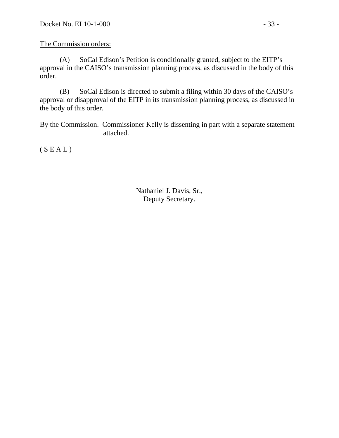The Commission orders:

 (A) SoCal Edison's Petition is conditionally granted, subject to the EITP's approval in the CAISO's transmission planning process, as discussed in the body of this order.

 (B) SoCal Edison is directed to submit a filing within 30 days of the CAISO's approval or disapproval of the EITP in its transmission planning process, as discussed in the body of this order.

By the Commission. Commissioner Kelly is dissenting in part with a separate statement attached.

 $(S E A L)$ 

Nathaniel J. Davis, Sr., Deputy Secretary.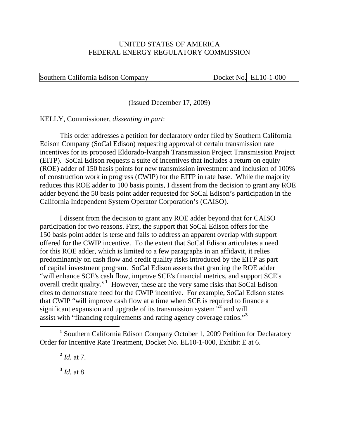#### UNITED STATES OF AMERICA FEDERAL ENERGY REGULATORY COMMISSION

#### Southern California Edison Company Docket No. EL10-1-000

(Issued December 17, 2009)

KELLY, Commissioner, *dissenting in part*:

This order addresses a petition for declaratory order filed by Southern California Edison Company (SoCal Edison) requesting approval of certain transmission rate incentives for its proposed Eldorado-lvanpah Transmission Project Transmission Project (EITP). SoCal Edison requests a suite of incentives that includes a return on equity (ROE) adder of 150 basis points for new transmission investment and inclusion of 100% of construction work in progress (CWIP) for the EITP in rate base. While the majority reduces this ROE adder to 100 basis points, I dissent from the decision to grant any ROE adder beyond the 50 basis point adder requested for SoCal Edison's participation in the California Independent System Operator Corporation's (CAISO).

I dissent from the decision to grant any ROE adder beyond that for CAISO participation for two reasons. First, the support that SoCal Edison offers for the 150 basis point adder is terse and fails to address an apparent overlap with support offered for the CWIP incentive. To the extent that SoCal Edison articulates a need for this ROE adder, which is limited to a few paragraphs in an affidavit, it relies predominantly on cash flow and credit quality risks introduced by the EITP as part of capital investment program. SoCal Edison asserts that granting the ROE adder "will enhance SCE's cash flow, improve SCE's financial metrics, and support SCE's overall credit quality."<sup>[1](#page-33-0)</sup> However, these are the very same risks that SoCal Edison cites to demonstrate need for the CWIP incentive. For example, SoCal Edison states that CWIP "will improve cash flow at a time when SCE is required to finance a significant expansion and upgrade of its transmission system<sup> $\frac{1}{2}$  $\frac{1}{2}$  $\frac{1}{2}$ </sup> and will assist with "financing requirements and rating agency coverage ratios."**[3](#page-33-2)**

<span id="page-33-2"></span>**<sup>3</sup>** *Id.* at 8.

<span id="page-33-1"></span><span id="page-33-0"></span><sup>&</sup>lt;u>1</u> <sup>1</sup> Southern California Edison Company October 1, 2009 Petition for Declaratory Order for Incentive Rate Treatment, Docket No. EL10-1-000, Exhibit E at 6.

 $^{2}$  *Id.* at 7.